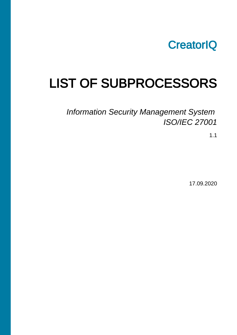

## LIST OF SUBPROCESSORS

## Information Security Management System ISO/IEC 27001

1.1

17.09.2020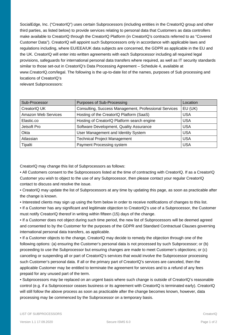SocialEdge, Inc. ("CreatorIQ") uses certain Subprocessors (including entities in the CreatorIQ group and other third parties, as listed below) to provide services relating to personal data that Customers as data controllers make available to CreatorIQ through the CreatorIQ Platform (in CreatorIQ's contracts referred to as "Covered Customer Data"). CreatorIQ will appoint such Subprocessors only in accordance with applicable laws and regulations including, where EU/EEA/UK data subjects are concerned, the GDPR as applicable in the EU and the UK. CreatorIQ will enter into written agreements with each Subprocessor including all required legal provisions, safeguards for international personal data transfers where required, as well as IT security standards similar to those set-out in CreatorIQ's Data Processing Agreement – Schedule 4, available at www.CreatorIQ.com/legal. The following is the up-to-date list of the names, purposes of Sub processing and locations of CreatorIQ's relevant Subprocessors:

| Sub-Processor       | Purposes of Sub-Processing                            | Location   |
|---------------------|-------------------------------------------------------|------------|
| CreatorIQ UK        | Consulting, Success Management, Professional Services | EU (UK)    |
| Amazon Web Services | Hosting of the CreatorIQ Platform (SaaS)              | <b>USA</b> |
| Elastic.co          | Hosting of CreatorIQ Platform search engine           | <b>USA</b> |
| Jetsoft Pro         | Software Development, Quality Assurance               | <b>USA</b> |
| Okta                | User Management and Identity System                   | <b>USA</b> |
| Atlassian           | <b>Technical Project Management</b>                   | <b>USA</b> |
| Tipalti             | Payment Processing system                             | <b>USA</b> |

CreatorIQ may change this list of Subprocessors as follows:

• All Customers consent to the Subprocessors listed at the time of contracting with CreatorIQ. If as a CreatorIQ Customer you wish to object to the use of any Subprocessor, then please contact your regular CreatorIQ contact to discuss and resolve the issue.

• CreatorIQ may update the list of Subprocessors at any time by updating this page, as soon as practicable after the change is known.

• Interested clients may sign up using the form below in order to receive notifications of changes to this list.

• If a Customer has any significant and legitimate objection to CreatorIQ's use of a Subprocessor, the Customer must notify CreatorIQ thereof in writing within fifteen (15) days of the change.

• If a Customer does not object during such time period, the new list of Subprocessors will be deemed agreed and consented to by the Customer for the purposes of the GDPR and Standard Contractual Clauses governing international personal data transfers, as applicable.

• If a Customer objects to the change, CreatorIQ may decide to remedy the objection through one of the following options: (a) ensuring the Customer's personal data is not processed by such Subprocessor; or (b) proceeding to use the Subprocessor but ensuring changes are made to meet Customer's objections; or (c) canceling or suspending all or part of CreatorIQ's services that would involve the Subprocessor processing such Customer's personal data. If all or the primary part of CreatorIQ's services are canceled, then the applicable Customer may be entitled to terminate the agreement for services and to a refund of any fees prepaid for any unused part of the term.

• Subprocessors may be replaced on an urgent basis where such change is outside of CreatorIQ's reasonable control (e.g. if a Subprocessor ceases business or its agreement with CreatorIQ is terminated early). CreatorIQ will still follow the above process as soon as practicable after the change becomes known, however, data processing may be commenced by the Subprocessor on a temporary basis.